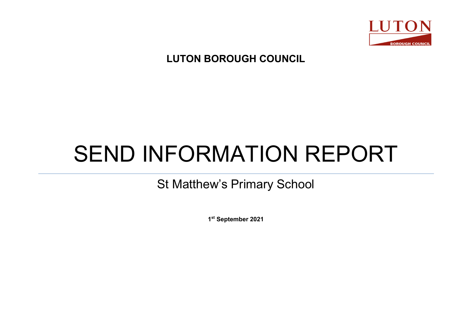

## **LUTON BOROUGH COUNCIL**

# SEND INFORMATION REPORT

# St Matthew's Primary School

**1st September 2021**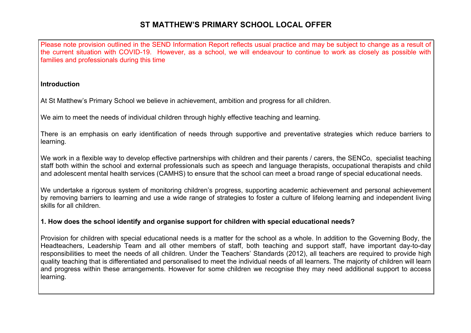Please note provision outlined in the SEND Information Report reflects usual practice and may be subject to change as a result of the current situation with COVID-19. However, as a school, we will endeavour to continue to work as closely as possible with families and professionals during this time

#### **Introduction**

At St Matthew's Primary School we believe in achievement, ambition and progress for all children.

We aim to meet the needs of individual children through highly effective teaching and learning.

There is an emphasis on early identification of needs through supportive and preventative strategies which reduce barriers to learning.

We work in a flexible way to develop effective partnerships with children and their parents / carers, the SENCo, specialist teaching staff both within the school and external professionals such as speech and language therapists, occupational therapists and child and adolescent mental health services (CAMHS) to ensure that the school can meet a broad range of special educational needs.

We undertake a rigorous system of monitoring children's progress, supporting academic achievement and personal achievement by removing barriers to learning and use a wide range of strategies to foster a culture of lifelong learning and independent living skills for all children.

#### **1. How does the school identify and organise support for children with special educational needs?**

Provision for children with special educational needs is a matter for the school as a whole. In addition to the Governing Body, the Headteachers, Leadership Team and all other members of staff, both teaching and support staff, have important day-to-day responsibilities to meet the needs of all children. Under the Teachers' Standards (2012), all teachers are required to provide high quality teaching that is differentiated and personalised to meet the individual needs of all learners. The majority of children will learn and progress within these arrangements. However for some children we recognise they may need additional support to access learning.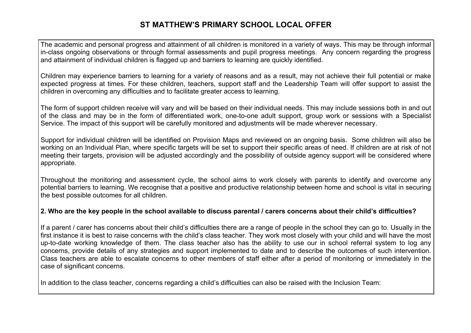The academic and personal progress and attainment of all children is monitored in a variety of ways. This may be through informal in-class ongoing observations or through formal assessments and pupil progress meetings. Any concern regarding the progress and attainment of individual children is flagged up and barriers to learning are quickly identified.

Children may experience barriers to learning for a variety of reasons and as a result, may not achieve their full potential or make expected progress at times. For these children, teachers, support staff and the Leadership Team will offer support to assist the children in overcoming any difficulties and to facilitate greater access to learning.

The form of support children receive will vary and will be based on their individual needs. This may include sessions both in and out of the class and may be in the form of differentiated work, one-to-one adult support, group work or sessions with a Specialist Service. The impact of this support will be carefully monitored and adjustments will be made wherever necessary.

Support for individual children will be identified on Provision Maps and reviewed on an ongoing basis. Some children will also be working on an Individual Plan, where specific targets will be set to support their specific areas of need. If children are at risk of not meeting their targets, provision will be adjusted accordingly and the possibility of outside agency support will be considered where appropriate.

Throughout the monitoring and assessment cycle, the school aims to work closely with parents to identify and overcome any potential barriers to learning. We recognise that a positive and productive relationship between home and school is vital in securing the best possible outcomes for all children.

#### **2. Who are the key people in the school available to discuss parental / carers concerns about their child's difficulties?**

If a parent / carer has concerns about their child's difficulties there are a range of people in the school they can go to. Usually in the first instance it is best to raise concerns with the child's class teacher. They work most closely with your child and will have the most up-to-date working knowledge of them. The class teacher also has the ability to use our in school referral system to log any concerns, provide details of any strategies and support implemented to date and to describe the outcomes of such intervention. Class teachers are able to escalate concerns to other members of staff either after a period of monitoring or immediately in the case of significant concerns.

In addition to the class teacher, concerns regarding a child's difficulties can also be raised with the Inclusion Team: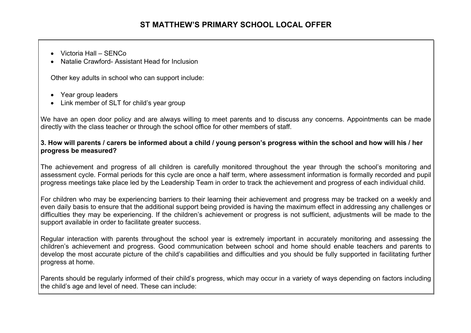- Victoria Hall SENCo
- Natalie Crawford- Assistant Head for Inclusion

Other key adults in school who can support include:

- Year group leaders
- Link member of SLT for child's year group

We have an open door policy and are always willing to meet parents and to discuss any concerns. Appointments can be made directly with the class teacher or through the school office for other members of staff.

#### **3. How will parents / carers be informed about a child / young person's progress within the school and how will his / her progress be measured?**

The achievement and progress of all children is carefully monitored throughout the year through the school's monitoring and assessment cycle. Formal periods for this cycle are once a half term, where assessment information is formally recorded and pupil progress meetings take place led by the Leadership Team in order to track the achievement and progress of each individual child.

For children who may be experiencing barriers to their learning their achievement and progress may be tracked on a weekly and even daily basis to ensure that the additional support being provided is having the maximum effect in addressing any challenges or difficulties they may be experiencing. If the children's achievement or progress is not sufficient, adjustments will be made to the support available in order to facilitate greater success.

Regular interaction with parents throughout the school year is extremely important in accurately monitoring and assessing the children's achievement and progress. Good communication between school and home should enable teachers and parents to develop the most accurate picture of the child's capabilities and difficulties and you should be fully supported in facilitating further progress at home.

Parents should be regularly informed of their child's progress, which may occur in a variety of ways depending on factors including the child's age and level of need. These can include: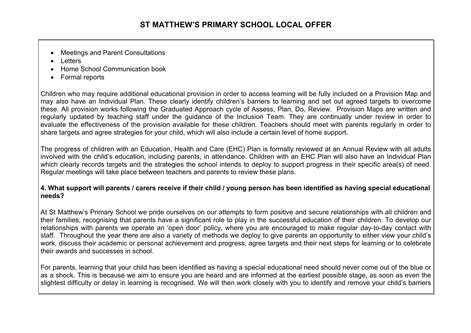- Meetings and Parent Consultations
- Letters
- Home School Communication book
- Formal reports

Children who may require additional educational provision in order to access learning will be fully included on a Provision Map and may also have an Individual Plan. These clearly identify children's barriers to learning and set out agreed targets to overcome these. All provision works following the Graduated Approach cycle of Assess, Plan, Do, Review. Provision Maps are written and regularly updated by teaching staff under the guidance of the Inclusion Team. They are continually under review in order to evaluate the effectiveness of the provision available for these children. Teachers should meet with parents regularly in order to share targets and agree strategies for your child, which will also include a certain level of home support.

The progress of children with an Education, Health and Care (EHC) Plan is formally reviewed at an Annual Review with all adults involved with the child's education, including parents, in attendance. Children with an EHC Plan will also have an Individual Plan which clearly records targets and the strategies the school intends to deploy to support progress in their specific area(s) of need. Regular meetings will take place between teachers and parents to review these plans.

#### **4. What support will parents / carers receive if their child / young person has been identified as having special educational needs?**

At St Matthew's Primary School we pride ourselves on our attempts to form positive and secure relationships with all children and their families, recognising that parents have a significant role to play in the successful education of their children. To develop our relationships with parents we operate an 'open door' policy, where you are encouraged to make regular day-to-day contact with staff. Throughout the year there are also a variety of methods we deploy to give parents an opportunity to either view your child's work, discuss their academic or personal achievement and progress, agree targets and their next steps for learning or to celebrate their awards and successes in school.

For parents, learning that your child has been identified as having a special educational need should never come out of the blue or as a shock. This is because we aim to ensure you are heard and are informed at the earliest possible stage, as soon as even the slightest difficulty or delay in learning is recognised. We will then work closely with you to identify and remove your child's barriers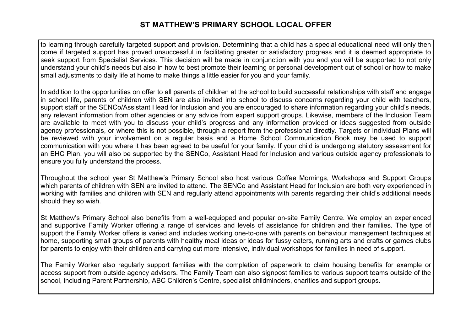to learning through carefully targeted support and provision. Determining that a child has a special educational need will only then come if targeted support has proved unsuccessful in facilitating greater or satisfactory progress and it is deemed appropriate to seek support from Specialist Services. This decision will be made in conjunction with you and you will be supported to not only understand your child's needs but also in how to best promote their learning or personal development out of school or how to make small adjustments to daily life at home to make things a little easier for you and your family.

In addition to the opportunities on offer to all parents of children at the school to build successful relationships with staff and engage in school life, parents of children with SEN are also invited into school to discuss concerns regarding your child with teachers, support staff or the SENCo/Assistant Head for Inclusion and you are encouraged to share information regarding your child's needs, any relevant information from other agencies or any advice from expert support groups. Likewise, members of the Inclusion Team are available to meet with you to discuss your child's progress and any information provided or ideas suggested from outside agency professionals, or where this is not possible, through a report from the professional directly. Targets or Individual Plans will be reviewed with your involvement on a regular basis and a Home School Communication Book may be used to support communication with you where it has been agreed to be useful for your family. If your child is undergoing statutory assessment for an EHC Plan, you will also be supported by the SENCo, Assistant Head for Inclusion and various outside agency professionals to ensure you fully understand the process.

Throughout the school year St Matthew's Primary School also host various Coffee Mornings, Workshops and Support Groups which parents of children with SEN are invited to attend. The SENCo and Assistant Head for Inclusion are both very experienced in working with families and children with SEN and regularly attend appointments with parents regarding their child's additional needs should they so wish.

St Matthew's Primary School also benefits from a well-equipped and popular on-site Family Centre. We employ an experienced and supportive Family Worker offering a range of services and levels of assistance for children and their families. The type of support the Family Worker offers is varied and includes working one-to-one with parents on behaviour management techniques at home, supporting small groups of parents with healthy meal ideas or ideas for fussy eaters, running arts and crafts or games clubs for parents to enjoy with their children and carrying out more intensive, individual workshops for families in need of support.

The Family Worker also regularly support families with the completion of paperwork to claim housing benefits for example or access support from outside agency advisors. The Family Team can also signpost families to various support teams outside of the school, including Parent Partnership, ABC Children's Centre, specialist childminders, charities and support groups.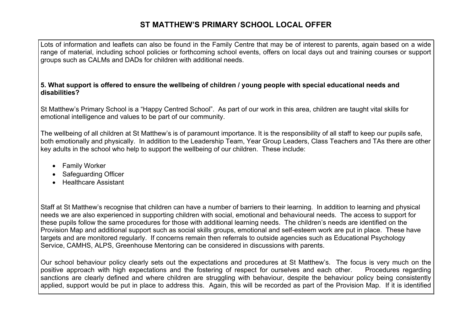Lots of information and leaflets can also be found in the Family Centre that may be of interest to parents, again based on a wide range of material, including school policies or forthcoming school events, offers on local days out and training courses or support groups such as CALMs and DADs for children with additional needs.

#### **5. What support is offered to ensure the wellbeing of children / young people with special educational needs and disabilities?**

St Matthew's Primary School is a "Happy Centred School". As part of our work in this area, children are taught vital skills for emotional intelligence and values to be part of our community.

The wellbeing of all children at St Matthew's is of paramount importance. It is the responsibility of all staff to keep our pupils safe, both emotionally and physically. In addition to the Leadership Team, Year Group Leaders, Class Teachers and TAs there are other key adults in the school who help to support the wellbeing of our children. These include:

- Family Worker
- Safeguarding Officer
- Healthcare Assistant

Staff at St Matthew's recognise that children can have a number of barriers to their learning. In addition to learning and physical needs we are also experienced in supporting children with social, emotional and behavioural needs. The access to support for these pupils follow the same procedures for those with additional learning needs. The children's needs are identified on the Provision Map and additional support such as social skills groups, emotional and self-esteem work are put in place. These have targets and are monitored regularly. If concerns remain then referrals to outside agencies such as Educational Psychology Service, CAMHS, ALPS, Greenhouse Mentoring can be considered in discussions with parents.

Our school behaviour policy clearly sets out the expectations and procedures at St Matthew's. The focus is very much on the positive approach with high expectations and the fostering of respect for ourselves and each other. Procedures regarding sanctions are clearly defined and where children are struggling with behaviour, despite the behaviour policy being consistently applied, support would be put in place to address this. Again, this will be recorded as part of the Provision Map. If it is identified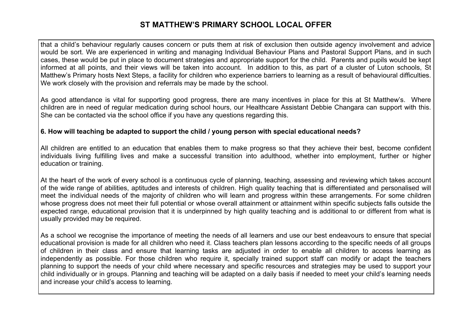that a child's behaviour regularly causes concern or puts them at risk of exclusion then outside agency involvement and advice would be sort. We are experienced in writing and managing Individual Behaviour Plans and Pastoral Support Plans, and in such cases, these would be put in place to document strategies and appropriate support for the child. Parents and pupils would be kept informed at all points, and their views will be taken into account. In addition to this, as part of a cluster of Luton schools, St Matthew's Primary hosts Next Steps, a facility for children who experience barriers to learning as a result of behavioural difficulties. We work closely with the provision and referrals may be made by the school.

As good attendance is vital for supporting good progress, there are many incentives in place for this at St Matthew's. Where children are in need of regular medication during school hours, our Healthcare Assistant Debbie Changara can support with this. She can be contacted via the school office if you have any questions regarding this.

#### **6. How will teaching be adapted to support the child / young person with special educational needs?**

All children are entitled to an education that enables them to make progress so that they achieve their best, become confident individuals living fulfilling lives and make a successful transition into adulthood, whether into employment, further or higher education or training.

At the heart of the work of every school is a continuous cycle of planning, teaching, assessing and reviewing which takes account of the wide range of abilities, aptitudes and interests of children. High quality teaching that is differentiated and personalised will meet the individual needs of the majority of children who will learn and progress within these arrangements. For some children whose progress does not meet their full potential or whose overall attainment or attainment within specific subjects falls outside the expected range, educational provision that it is underpinned by high quality teaching and is additional to or different from what is usually provided may be required.

As a school we recognise the importance of meeting the needs of all learners and use our best endeavours to ensure that special educational provision is made for all children who need it. Class teachers plan lessons according to the specific needs of all groups of children in their class and ensure that learning tasks are adjusted in order to enable all children to access learning as independently as possible. For those children who require it, specially trained support staff can modify or adapt the teachers planning to support the needs of your child where necessary and specific resources and strategies may be used to support your child individually or in groups. Planning and teaching will be adapted on a daily basis if needed to meet your child's learning needs and increase your child's access to learning.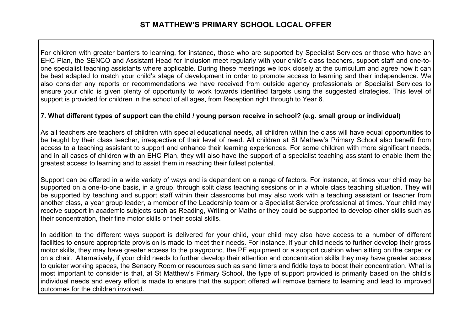For children with greater barriers to learning, for instance, those who are supported by Specialist Services or those who have an EHC Plan, the SENCO and Assistant Head for Inclusion meet regularly with your child's class teachers, support staff and one-toone specialist teaching assistants where applicable. During these meetings we look closely at the curriculum and agree how it can be best adapted to match your child's stage of development in order to promote access to learning and their independence. We also consider any reports or recommendations we have received from outside agency professionals or Specialist Services to ensure your child is given plenty of opportunity to work towards identified targets using the suggested strategies. This level of support is provided for children in the school of all ages, from Reception right through to Year 6.

#### **7. What different types of support can the child / young person receive in school? (e.g. small group or individual)**

As all teachers are teachers of children with special educational needs, all children within the class will have equal opportunities to be taught by their class teacher, irrespective of their level of need. All children at St Mathew's Primary School also benefit from access to a teaching assistant to support and enhance their learning experiences. For some children with more significant needs, and in all cases of children with an EHC Plan, they will also have the support of a specialist teaching assistant to enable them the greatest access to learning and to assist them in reaching their fullest potential.

Support can be offered in a wide variety of ways and is dependent on a range of factors. For instance, at times your child may be supported on a one-to-one basis, in a group, through split class teaching sessions or in a whole class teaching situation. They will be supported by teaching and support staff within their classrooms but may also work with a teaching assistant or teacher from another class, a year group leader, a member of the Leadership team or a Specialist Service professional at times. Your child may receive support in academic subjects such as Reading, Writing or Maths or they could be supported to develop other skills such as their concentration, their fine motor skills or their social skills.

In addition to the different ways support is delivered for your child, your child may also have access to a number of different facilities to ensure appropriate provision is made to meet their needs. For instance, if your child needs to further develop their gross motor skills, they may have greater access to the playground, the PE equipment or a support cushion when sitting on the carpet or on a chair. Alternatively, if your child needs to further develop their attention and concentration skills they may have greater access to quieter working spaces, the Sensory Room or resources such as sand timers and fiddle toys to boost their concentration. What is most important to consider is that, at St Matthew's Primary School, the type of support provided is primarily based on the child's individual needs and every effort is made to ensure that the support offered will remove barriers to learning and lead to improved outcomes for the children involved.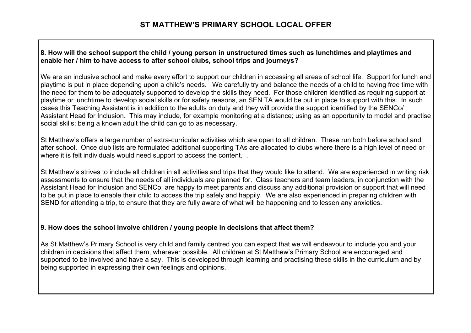#### **8. How will the school support the child / young person in unstructured times such as lunchtimes and playtimes and enable her / him to have access to after school clubs, school trips and journeys?**

We are an inclusive school and make every effort to support our children in accessing all areas of school life. Support for lunch and playtime is put in place depending upon a child's needs. We carefully try and balance the needs of a child to having free time with the need for them to be adequately supported to develop the skills they need. For those children identified as requiring support at playtime or lunchtime to develop social skills or for safety reasons, an SEN TA would be put in place to support with this. In such cases this Teaching Assistant is in addition to the adults on duty and they will provide the support identified by the SENCo/ Assistant Head for Inclusion. This may include, for example monitoring at a distance; using as an opportunity to model and practise social skills; being a known adult the child can go to as necessary.

St Matthew's offers a large number of extra-curricular activities which are open to all children. These run both before school and after school. Once club lists are formulated additional supporting TAs are allocated to clubs where there is a high level of need or where it is felt individuals would need support to access the content. .

St Matthew's strives to include all children in all activities and trips that they would like to attend. We are experienced in writing risk assessments to ensure that the needs of all individuals are planned for. Class teachers and team leaders, in conjunction with the Assistant Head for Inclusion and SENCo, are happy to meet parents and discuss any additional provision or support that will need to be put in place to enable their child to access the trip safely and happily. We are also experienced in preparing children with SEND for attending a trip, to ensure that they are fully aware of what will be happening and to lessen any anxieties.

#### **9. How does the school involve children / young people in decisions that affect them?**

As St Matthew's Primary School is very child and family centred you can expect that we will endeavour to include you and your children in decisions that affect them, wherever possible. All children at St Matthew's Primary School are encouraged and supported to be involved and have a say. This is developed through learning and practising these skills in the curriculum and by being supported in expressing their own feelings and opinions.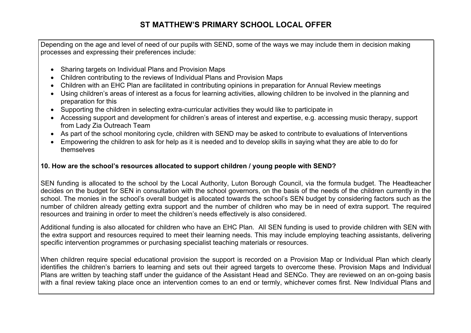Depending on the age and level of need of our pupils with SEND, some of the ways we may include them in decision making processes and expressing their preferences include:

- Sharing targets on Individual Plans and Provision Maps
- Children contributing to the reviews of Individual Plans and Provision Maps
- Children with an EHC Plan are facilitated in contributing opinions in preparation for Annual Review meetings
- Using children's areas of interest as a focus for learning activities, allowing children to be involved in the planning and preparation for this
- Supporting the children in selecting extra-curricular activities they would like to participate in
- Accessing support and development for children's areas of interest and expertise, e.g. accessing music therapy, support from Lady Zia Outreach Team
- As part of the school monitoring cycle, children with SEND may be asked to contribute to evaluations of Interventions
- Empowering the children to ask for help as it is needed and to develop skills in saying what they are able to do for themselves

#### **10. How are the school's resources allocated to support children / young people with SEND?**

SEN funding is allocated to the school by the Local Authority, Luton Borough Council, via the formula budget. The Headteacher decides on the budget for SEN in consultation with the school governors, on the basis of the needs of the children currently in the school. The monies in the school's overall budget is allocated towards the school's SEN budget by considering factors such as the number of children already getting extra support and the number of children who may be in need of extra support. The required resources and training in order to meet the children's needs effectively is also considered.

Additional funding is also allocated for children who have an EHC Plan. All SEN funding is used to provide children with SEN with the extra support and resources required to meet their learning needs. This may include employing teaching assistants, delivering specific intervention programmes or purchasing specialist teaching materials or resources.

When children require special educational provision the support is recorded on a Provision Map or Individual Plan which clearly identifies the children's barriers to learning and sets out their agreed targets to overcome these. Provision Maps and Individual Plans are written by teaching staff under the guidance of the Assistant Head and SENCo. They are reviewed on an on-going basis with a final review taking place once an intervention comes to an end or termly, whichever comes first. New Individual Plans and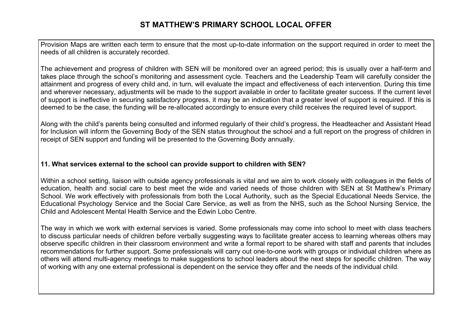Provision Maps are written each term to ensure that the most up-to-date information on the support required in order to meet the needs of all children is accurately recorded.

The achievement and progress of children with SEN will be monitored over an agreed period; this is usually over a half-term and takes place through the school's monitoring and assessment cycle. Teachers and the Leadership Team will carefully consider the attainment and progress of every child and, in turn, will evaluate the impact and effectiveness of each intervention. During this time and wherever necessary, adjustments will be made to the support available in order to facilitate greater success. If the current level of support is ineffective in securing satisfactory progress, it may be an indication that a greater level of support is required. If this is deemed to be the case, the funding will be re-allocated accordingly to ensure every child receives the required level of support.

Along with the child's parents being consulted and informed regularly of their child's progress, the Headteacher and Assistant Head for Inclusion will inform the Governing Body of the SEN status throughout the school and a full report on the progress of children in receipt of SEN support and funding will be presented to the Governing Body annually.

#### **11. What services external to the school can provide support to children with SEN?**

Within a school setting, liaison with outside agency professionals is vital and we aim to work closely with colleagues in the fields of education, health and social care to best meet the wide and varied needs of those children with SEN at St Matthew's Primary School. We work effectively with professionals from both the Local Authority, such as the Special Educational Needs Service, the Educational Psychology Service and the Social Care Service, as well as from the NHS, such as the School Nursing Service, the Child and Adolescent Mental Health Service and the Edwin Lobo Centre.

The way in which we work with external services is varied. Some professionals may come into school to meet with class teachers to discuss particular needs of children before verbally suggesting ways to facilitate greater access to learning whereas others may observe specific children in their classroom environment and write a formal report to be shared with staff and parents that includes recommendations for further support. Some professionals will carry out one-to-one work with groups or individual children where as others will attend multi-agency meetings to make suggestions to school leaders about the next steps for specific children. The way of working with any one external professional is dependent on the service they offer and the needs of the individual child.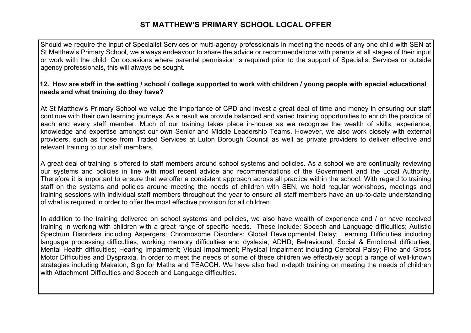Should we require the input of Specialist Services or multi-agency professionals in meeting the needs of any one child with SEN at St Matthew's Primary School, we always endeavour to share the advice or recommendations with parents at all stages of their input or work with the child. On occasions where parental permission is required prior to the support of Specialist Services or outside agency professionals, this will always be sought.

#### **12.****How are staff in the setting / school / college supported to work with children / young people with special educational needs and what training do they have?**

At St Matthew's Primary School we value the importance of CPD and invest a great deal of time and money in ensuring our staff continue with their own learning journeys. As a result we provide balanced and varied training opportunities to enrich the practice of each and every staff member. Much of our training takes place in-house as we recognise the wealth of skills, experience, knowledge and expertise amongst our own Senior and Middle Leadership Teams. However, we also work closely with external providers, such as those from Traded Services at Luton Borough Council as well as private providers to deliver effective and relevant training to our staff members.

A great deal of training is offered to staff members around school systems and policies. As a school we are continually reviewing our systems and policies in line with most recent advice and recommendations of the Government and the Local Authority. Therefore it is important to ensure that we offer a consistent approach across all practice within the school. With regard to training staff on the systems and policies around meeting the needs of children with SEN, we hold regular workshops, meetings and training sessions with individual staff members throughout the year to ensure all staff members have an up-to-date understanding of what is required in order to offer the most effective provision for all children.

In addition to the training delivered on school systems and policies, we also have wealth of experience and / or have received training in working with children with a great range of specific needs. These include: Speech and Language difficulties; Autistic Spectrum Disorders including Aspergers; Chromosome Disorders; Global Developmental Delay; Learning Difficulties including language processing difficulties, working memory difficulties and dyslexia; ADHD; Behavioural, Social & Emotional difficulties; Mental Health difficulties; Hearing Impairment; Visual Impairment; Physical Impairment including Cerebral Palsy; Fine and Gross Motor Difficulties and Dyspraxia. In order to meet the needs of some of these children we effectively adopt a range of well-known strategies including Makaton, Sign for Maths and TEACCH. We have also had in-depth training on meeting the needs of children with Attachment Difficulties and Speech and Language difficulties.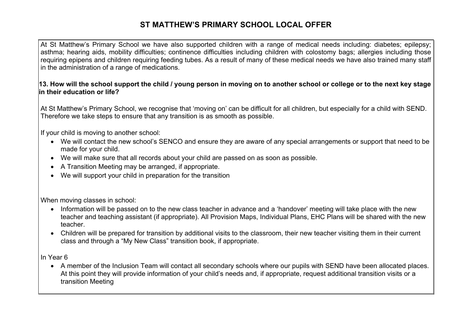At St Matthew's Primary School we have also supported children with a range of medical needs including: diabetes; epilepsy; asthma; hearing aids, mobility difficulties; continence difficulties including children with colostomy bags; allergies including those requiring epipens and children requiring feeding tubes. As a result of many of these medical needs we have also trained many staff in the administration of a range of medications.

#### **13. How will the school support the child / young person in moving on to another school or college or to the next key stage in their education or life?**

At St Matthew's Primary School, we recognise that 'moving on' can be difficult for all children, but especially for a child with SEND. Therefore we take steps to ensure that any transition is as smooth as possible.

If your child is moving to another school:

- We will contact the new school's SENCO and ensure they are aware of any special arrangements or support that need to be made for your child.
- We will make sure that all records about your child are passed on as soon as possible.
- A Transition Meeting may be arranged, if appropriate.
- We will support your child in preparation for the transition

When moving classes in school:

- Information will be passed on to the new class teacher in advance and a 'handover' meeting will take place with the new teacher and teaching assistant (if appropriate). All Provision Maps, Individual Plans, EHC Plans will be shared with the new teacher.
- Children will be prepared for transition by additional visits to the classroom, their new teacher visiting them in their current class and through a "My New Class" transition book, if appropriate.

In Year 6

• A member of the Inclusion Team will contact all secondary schools where our pupils with SEND have been allocated places. At this point they will provide information of your child's needs and, if appropriate, request additional transition visits or a transition Meeting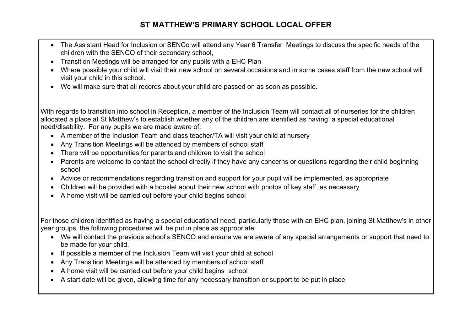- The Assistant Head for Inclusion or SENCo will attend any Year 6 Transfer Meetings to discuss the specific needs of the children with the SENCO of their secondary school,
- Transition Meetings will be arranged for any pupils with a EHC Plan
- Where possible your child will visit their new school on several occasions and in some cases staff from the new school will visit your child in this school.
- We will make sure that all records about your child are passed on as soon as possible.

With regards to transition into school in Reception, a member of the Inclusion Team will contact all of nurseries for the children allocated a place at St Matthew's to establish whether any of the children are identified as having a special educational need/disability. For any pupils we are made aware of:

- A member of the Inclusion Team and class teacher/TA will visit your child at nursery
- Any Transition Meetings will be attended by members of school staff
- There will be opportunities for parents and children to visit the school
- Parents are welcome to contact the school directly if they have any concerns or questions regarding their child beginning school
- Advice or recommendations regarding transition and support for your pupil will be implemented, as appropriate
- Children will be provided with a booklet about their new school with photos of key staff, as necessary
- A home visit will be carried out before your child begins school

For those children identified as having a special educational need, particularly those with an EHC plan, joining St Matthew's in other year groups, the following procedures will be put in place as appropriate:

- We will contact the previous school's SENCO and ensure we are aware of any special arrangements or support that need to be made for your child.
- If possible a member of the Inclusion Team will visit your child at school
- Any Transition Meetings will be attended by members of school staff
- A home visit will be carried out before your child begins school
- A start date will be given, allowing time for any necessary transition or support to be put in place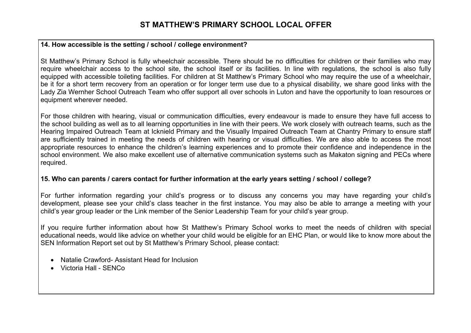#### **14. How accessible is the setting / school / college environment?**

St Matthew's Primary School is fully wheelchair accessible. There should be no difficulties for children or their families who may require wheelchair access to the school site, the school itself or its facilities. In line with regulations, the school is also fully equipped with accessible toileting facilities. For children at St Matthew's Primary School who may require the use of a wheelchair, be it for a short term recovery from an operation or for longer term use due to a physical disability, we share good links with the Lady Zia Wernher School Outreach Team who offer support all over schools in Luton and have the opportunity to loan resources or equipment wherever needed.

For those children with hearing, visual or communication difficulties, every endeavour is made to ensure they have full access to the school building as well as to all learning opportunities in line with their peers. We work closely with outreach teams, such as the Hearing Impaired Outreach Team at Icknield Primary and the Visually Impaired Outreach Team at Chantry Primary to ensure staff are sufficiently trained in meeting the needs of children with hearing or visual difficulties. We are also able to access the most appropriate resources to enhance the children's learning experiences and to promote their confidence and independence in the school environment. We also make excellent use of alternative communication systems such as Makaton signing and PECs where required.

#### **15. Who can parents / carers contact for further information at the early years setting / school / college?**

For further information regarding your child's progress or to discuss any concerns you may have regarding your child's development, please see your child's class teacher in the first instance. You may also be able to arrange a meeting with your child's year group leader or the Link member of the Senior Leadership Team for your child's year group.

If you require further information about how St Matthew's Primary School works to meet the needs of children with special educational needs, would like advice on whether your child would be eligible for an EHC Plan, or would like to know more about the SEN Information Report set out by St Matthew's Primary School, please contact:

- Natalie Crawford- Assistant Head for Inclusion
- Victoria Hall SENCo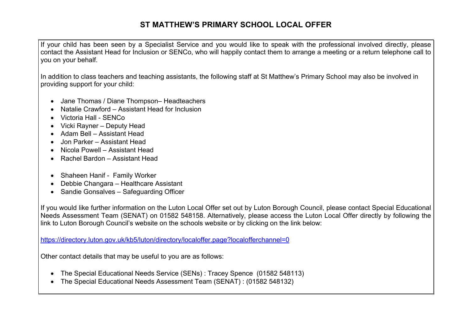If your child has been seen by a Specialist Service and you would like to speak with the professional involved directly, please contact the Assistant Head for Inclusion or SENCo, who will happily contact them to arrange a meeting or a return telephone call to you on your behalf.

In addition to class teachers and teaching assistants, the following staff at St Matthew's Primary School may also be involved in providing support for your child:

- Jane Thomas / Diane Thompson– Headteachers
- Natalie Crawford Assistant Head for Inclusion
- Victoria Hall SENCo
- Vicki Rayner Deputy Head
- Adam Bell Assistant Head
- Jon Parker Assistant Head
- Nicola Powell Assistant Head
- Rachel Bardon Assistant Head
- Shaheen Hanif Family Worker
- Debbie Changara Healthcare Assistant
- Sandie Gonsalves Safeguarding Officer

If you would like further information on the Luton Local Offer set out by Luton Borough Council, please contact Special Educational Needs Assessment Team (SENAT) on 01582 548158. Alternatively, please access the Luton Local Offer directly by following the link to Luton Borough Council's website on the schools website or by clicking on the link below:

https://directory.luton.gov.uk/kb5/luton/directory/localoffer.page?localofferchannel=0

Other contact details that may be useful to you are as follows:

- The Special Educational Needs Service (SENs) : Tracey Spence (01582 548113)
- The Special Educational Needs Assessment Team (SENAT) : (01582 548132)